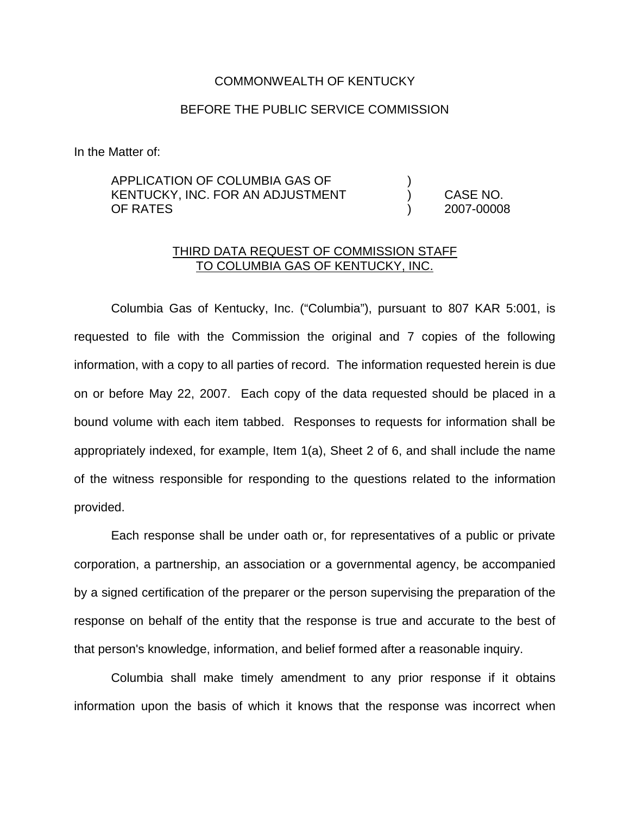### COMMONWEALTH OF KENTUCKY

# BEFORE THE PUBLIC SERVICE COMMISSION

In the Matter of:

# APPLICATION OF COLUMBIA GAS OF ) KENTUCKY, INC. FOR AN ADJUSTMENT ) CASE NO. OF RATES ) 2007-00008

# THIRD DATA REQUEST OF COMMISSION STAFF TO COLUMBIA GAS OF KENTUCKY, INC.

Columbia Gas of Kentucky, Inc. ("Columbia"), pursuant to 807 KAR 5:001, is requested to file with the Commission the original and 7 copies of the following information, with a copy to all parties of record. The information requested herein is due on or before May 22, 2007. Each copy of the data requested should be placed in a bound volume with each item tabbed. Responses to requests for information shall be appropriately indexed, for example, Item 1(a), Sheet 2 of 6, and shall include the name of the witness responsible for responding to the questions related to the information provided.

Each response shall be under oath or, for representatives of a public or private corporation, a partnership, an association or a governmental agency, be accompanied by a signed certification of the preparer or the person supervising the preparation of the response on behalf of the entity that the response is true and accurate to the best of that person's knowledge, information, and belief formed after a reasonable inquiry.

Columbia shall make timely amendment to any prior response if it obtains information upon the basis of which it knows that the response was incorrect when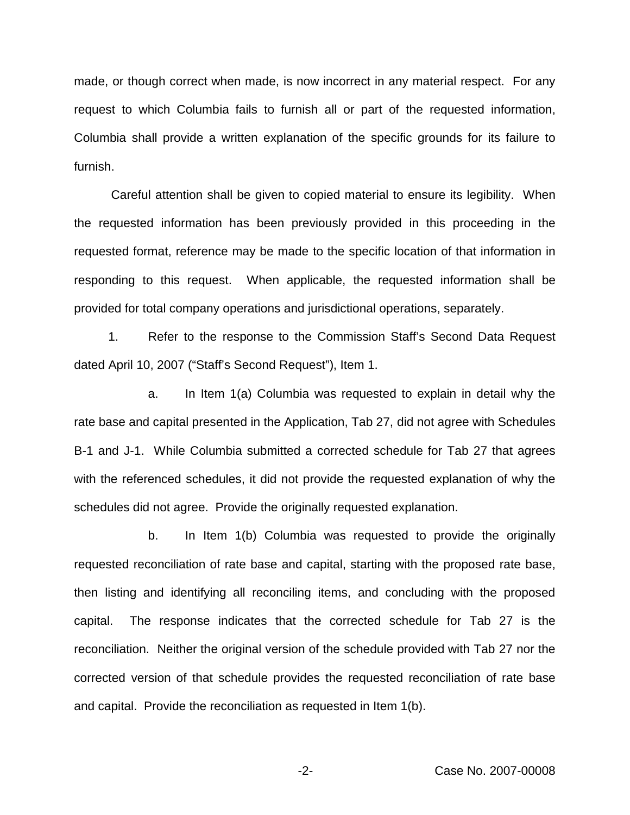made, or though correct when made, is now incorrect in any material respect. For any request to which Columbia fails to furnish all or part of the requested information, Columbia shall provide a written explanation of the specific grounds for its failure to furnish.

Careful attention shall be given to copied material to ensure its legibility. When the requested information has been previously provided in this proceeding in the requested format, reference may be made to the specific location of that information in responding to this request. When applicable, the requested information shall be provided for total company operations and jurisdictional operations, separately.

1. Refer to the response to the Commission Staff's Second Data Request dated April 10, 2007 ("Staff's Second Request"), Item 1.

a. In Item 1(a) Columbia was requested to explain in detail why the rate base and capital presented in the Application, Tab 27, did not agree with Schedules B-1 and J-1. While Columbia submitted a corrected schedule for Tab 27 that agrees with the referenced schedules, it did not provide the requested explanation of why the schedules did not agree. Provide the originally requested explanation.

b. In Item 1(b) Columbia was requested to provide the originally requested reconciliation of rate base and capital, starting with the proposed rate base, then listing and identifying all reconciling items, and concluding with the proposed capital. The response indicates that the corrected schedule for Tab 27 is the reconciliation. Neither the original version of the schedule provided with Tab 27 nor the corrected version of that schedule provides the requested reconciliation of rate base and capital. Provide the reconciliation as requested in Item 1(b).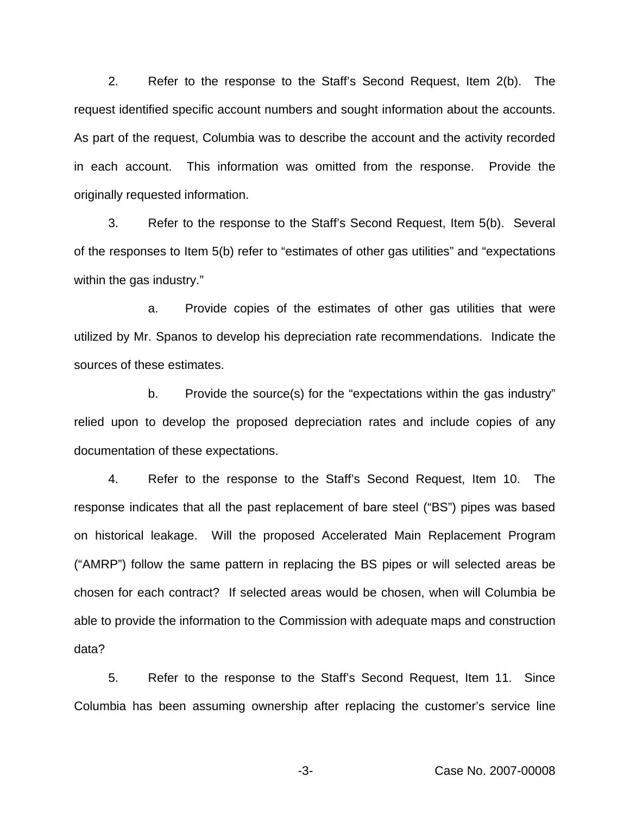2. Refer to the response to the Staff's Second Request, Item 2(b). The request identified specific account numbers and sought information about the accounts. As part of the request, Columbia was to describe the account and the activity recorded in each account. This information was omitted from the response. Provide the originally requested information.

3. Refer to the response to the Staff's Second Request, Item 5(b). Several of the responses to Item 5(b) refer to "estimates of other gas utilities" and "expectations within the gas industry."

a. Provide copies of the estimates of other gas utilities that were utilized by Mr. Spanos to develop his depreciation rate recommendations. Indicate the sources of these estimates.

b. Provide the source(s) for the "expectations within the gas industry" relied upon to develop the proposed depreciation rates and include copies of any documentation of these expectations.

4. Refer to the response to the Staff's Second Request, Item 10. The response indicates that all the past replacement of bare steel ("BS") pipes was based on historical leakage. Will the proposed Accelerated Main Replacement Program ("AMRP") follow the same pattern in replacing the BS pipes or will selected areas be chosen for each contract? If selected areas would be chosen, when will Columbia be able to provide the information to the Commission with adequate maps and construction data?

5. Refer to the response to the Staff's Second Request, Item 11. Since Columbia has been assuming ownership after replacing the customer's service line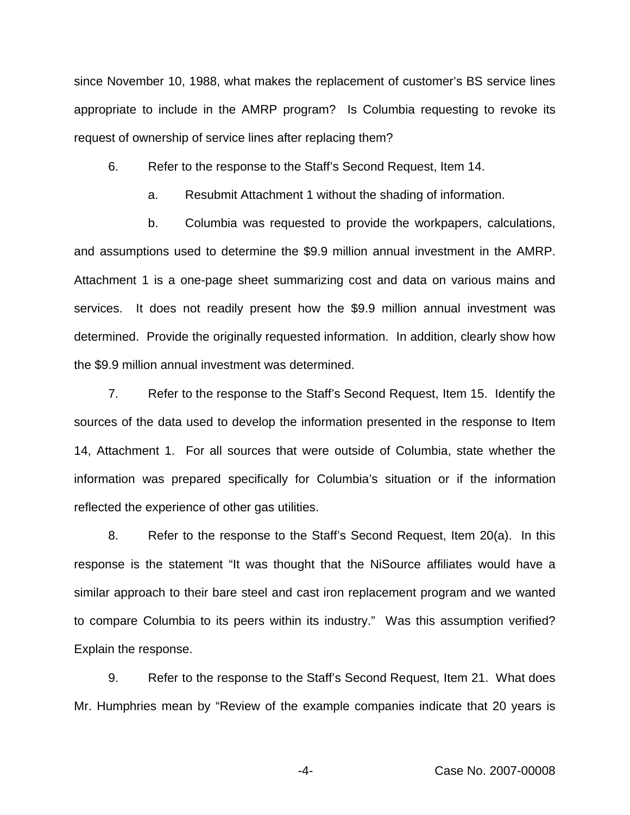since November 10, 1988, what makes the replacement of customer's BS service lines appropriate to include in the AMRP program? Is Columbia requesting to revoke its request of ownership of service lines after replacing them?

6. Refer to the response to the Staff's Second Request, Item 14.

a. Resubmit Attachment 1 without the shading of information.

b. Columbia was requested to provide the workpapers, calculations, and assumptions used to determine the \$9.9 million annual investment in the AMRP. Attachment 1 is a one-page sheet summarizing cost and data on various mains and services. It does not readily present how the \$9.9 million annual investment was determined. Provide the originally requested information. In addition, clearly show how the \$9.9 million annual investment was determined.

7. Refer to the response to the Staff's Second Request, Item 15. Identify the sources of the data used to develop the information presented in the response to Item 14, Attachment 1. For all sources that were outside of Columbia, state whether the information was prepared specifically for Columbia's situation or if the information reflected the experience of other gas utilities.

8. Refer to the response to the Staff's Second Request, Item 20(a). In this response is the statement "It was thought that the NiSource affiliates would have a similar approach to their bare steel and cast iron replacement program and we wanted to compare Columbia to its peers within its industry." Was this assumption verified? Explain the response.

9. Refer to the response to the Staff's Second Request, Item 21. What does Mr. Humphries mean by "Review of the example companies indicate that 20 years is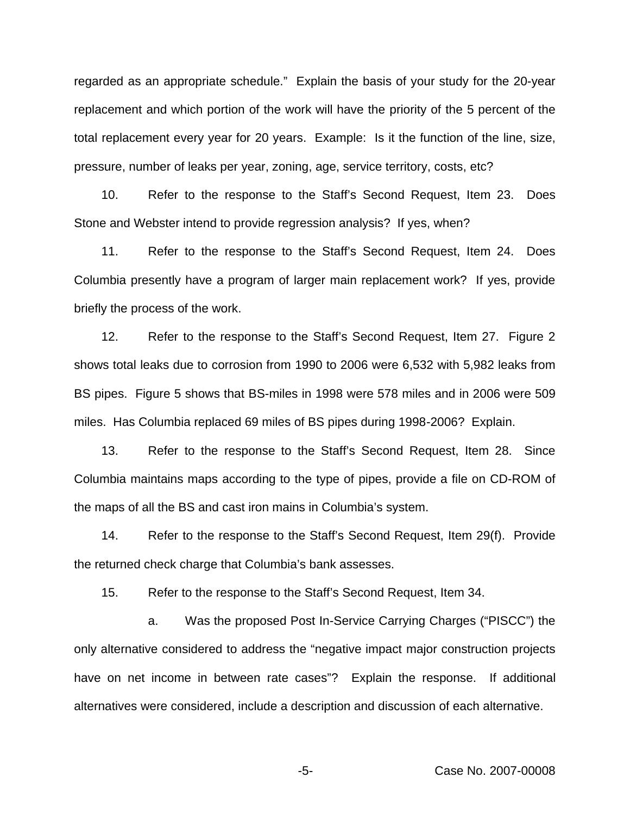regarded as an appropriate schedule." Explain the basis of your study for the 20-year replacement and which portion of the work will have the priority of the 5 percent of the total replacement every year for 20 years. Example: Is it the function of the line, size, pressure, number of leaks per year, zoning, age, service territory, costs, etc?

10. Refer to the response to the Staff's Second Request, Item 23. Does Stone and Webster intend to provide regression analysis? If yes, when?

11. Refer to the response to the Staff's Second Request, Item 24. Does Columbia presently have a program of larger main replacement work? If yes, provide briefly the process of the work.

12. Refer to the response to the Staff's Second Request, Item 27. Figure 2 shows total leaks due to corrosion from 1990 to 2006 were 6,532 with 5,982 leaks from BS pipes. Figure 5 shows that BS-miles in 1998 were 578 miles and in 2006 were 509 miles. Has Columbia replaced 69 miles of BS pipes during 1998-2006? Explain.

13. Refer to the response to the Staff's Second Request, Item 28. Since Columbia maintains maps according to the type of pipes, provide a file on CD-ROM of the maps of all the BS and cast iron mains in Columbia's system.

14. Refer to the response to the Staff's Second Request, Item 29(f). Provide the returned check charge that Columbia's bank assesses.

15. Refer to the response to the Staff's Second Request, Item 34.

a. Was the proposed Post In-Service Carrying Charges ("PISCC") the only alternative considered to address the "negative impact major construction projects have on net income in between rate cases"? Explain the response. If additional alternatives were considered, include a description and discussion of each alternative.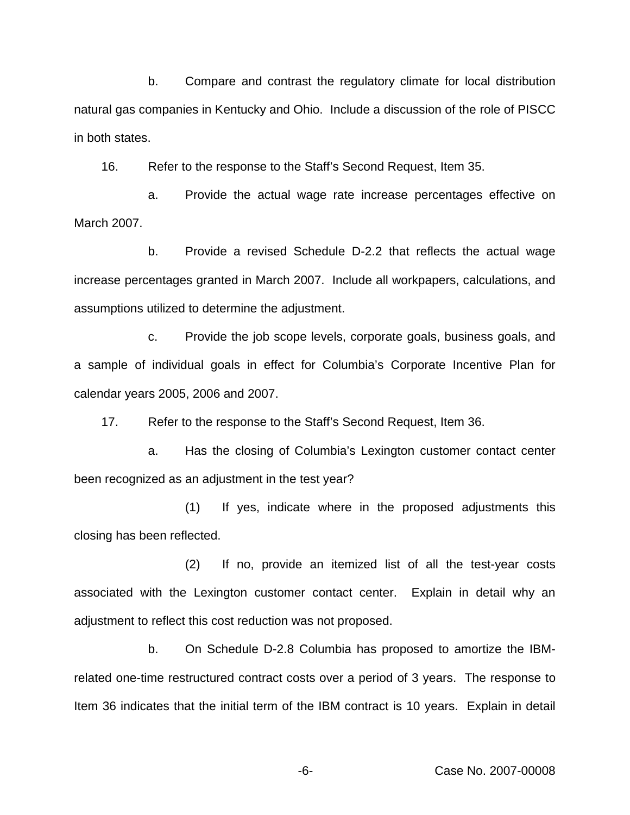b. Compare and contrast the regulatory climate for local distribution natural gas companies in Kentucky and Ohio. Include a discussion of the role of PISCC in both states.

16. Refer to the response to the Staff's Second Request, Item 35.

a. Provide the actual wage rate increase percentages effective on March 2007.

b. Provide a revised Schedule D-2.2 that reflects the actual wage increase percentages granted in March 2007. Include all workpapers, calculations, and assumptions utilized to determine the adjustment.

c. Provide the job scope levels, corporate goals, business goals, and a sample of individual goals in effect for Columbia's Corporate Incentive Plan for calendar years 2005, 2006 and 2007.

17. Refer to the response to the Staff's Second Request, Item 36.

a. Has the closing of Columbia's Lexington customer contact center been recognized as an adjustment in the test year?

(1) If yes, indicate where in the proposed adjustments this closing has been reflected.

(2) If no, provide an itemized list of all the test-year costs associated with the Lexington customer contact center. Explain in detail why an adjustment to reflect this cost reduction was not proposed.

b. On Schedule D-2.8 Columbia has proposed to amortize the IBMrelated one-time restructured contract costs over a period of 3 years. The response to Item 36 indicates that the initial term of the IBM contract is 10 years. Explain in detail

-6- Case No. 2007-00008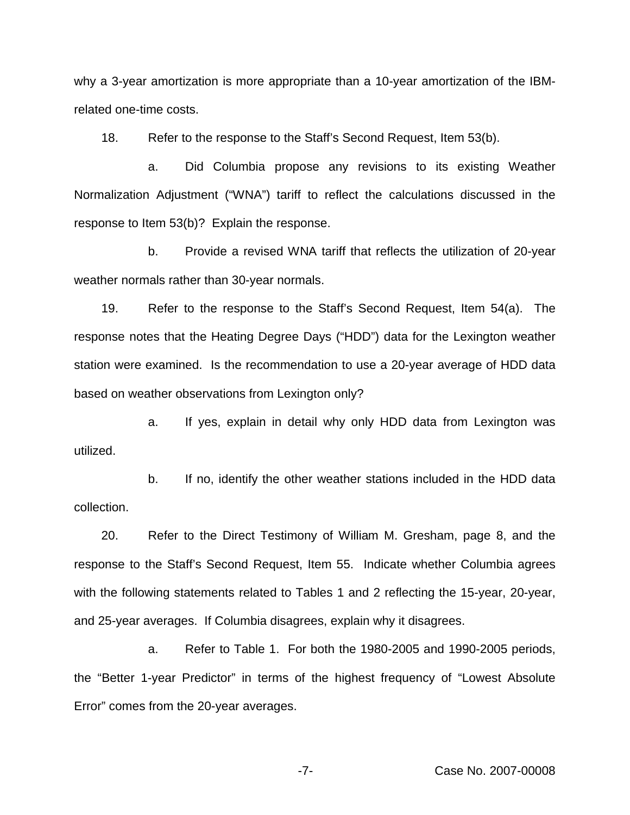why a 3-year amortization is more appropriate than a 10-year amortization of the IBMrelated one-time costs.

18. Refer to the response to the Staff's Second Request, Item 53(b).

a. Did Columbia propose any revisions to its existing Weather Normalization Adjustment ("WNA") tariff to reflect the calculations discussed in the response to Item 53(b)? Explain the response.

b. Provide a revised WNA tariff that reflects the utilization of 20-year weather normals rather than 30-year normals.

19. Refer to the response to the Staff's Second Request, Item 54(a). The response notes that the Heating Degree Days ("HDD") data for the Lexington weather station were examined. Is the recommendation to use a 20-year average of HDD data based on weather observations from Lexington only?

a. If yes, explain in detail why only HDD data from Lexington was utilized.

b. If no, identify the other weather stations included in the HDD data collection.

20. Refer to the Direct Testimony of William M. Gresham, page 8, and the response to the Staff's Second Request, Item 55. Indicate whether Columbia agrees with the following statements related to Tables 1 and 2 reflecting the 15-year, 20-year, and 25-year averages. If Columbia disagrees, explain why it disagrees.

a. Refer to Table 1. For both the 1980-2005 and 1990-2005 periods, the "Better 1-year Predictor" in terms of the highest frequency of "Lowest Absolute Error" comes from the 20-year averages.

-7- Case No. 2007-00008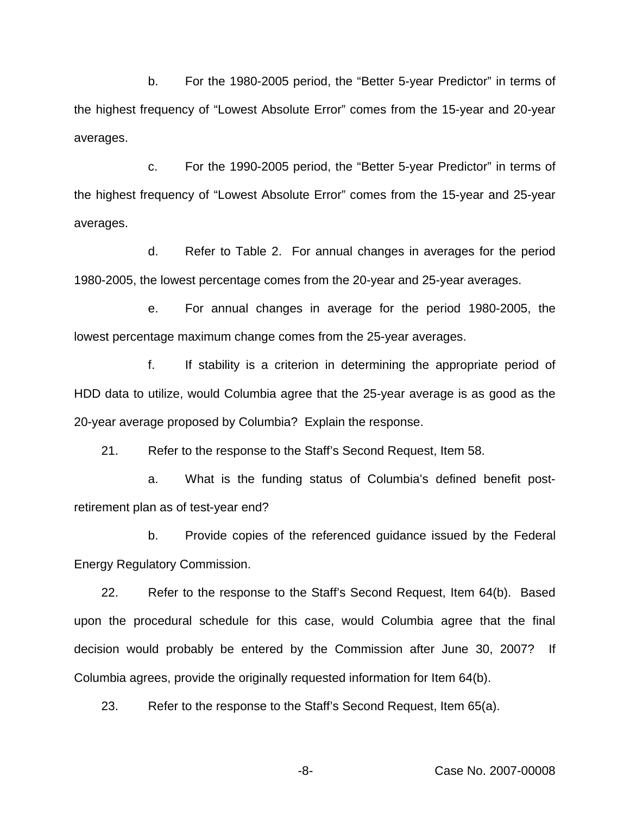b. For the 1980-2005 period, the "Better 5-year Predictor" in terms of the highest frequency of "Lowest Absolute Error" comes from the 15-year and 20-year averages.

c. For the 1990-2005 period, the "Better 5-year Predictor" in terms of the highest frequency of "Lowest Absolute Error" comes from the 15-year and 25-year averages.

d. Refer to Table 2. For annual changes in averages for the period 1980-2005, the lowest percentage comes from the 20-year and 25-year averages.

e. For annual changes in average for the period 1980-2005, the lowest percentage maximum change comes from the 25-year averages.

f. If stability is a criterion in determining the appropriate period of HDD data to utilize, would Columbia agree that the 25-year average is as good as the 20-year average proposed by Columbia? Explain the response.

21. Refer to the response to the Staff's Second Request, Item 58.

a. What is the funding status of Columbia's defined benefit postretirement plan as of test-year end?

b. Provide copies of the referenced guidance issued by the Federal Energy Regulatory Commission.

22. Refer to the response to the Staff's Second Request, Item 64(b). Based upon the procedural schedule for this case, would Columbia agree that the final decision would probably be entered by the Commission after June 30, 2007? If Columbia agrees, provide the originally requested information for Item 64(b).

23. Refer to the response to the Staff's Second Request, Item 65(a).

-8- Case No. 2007-00008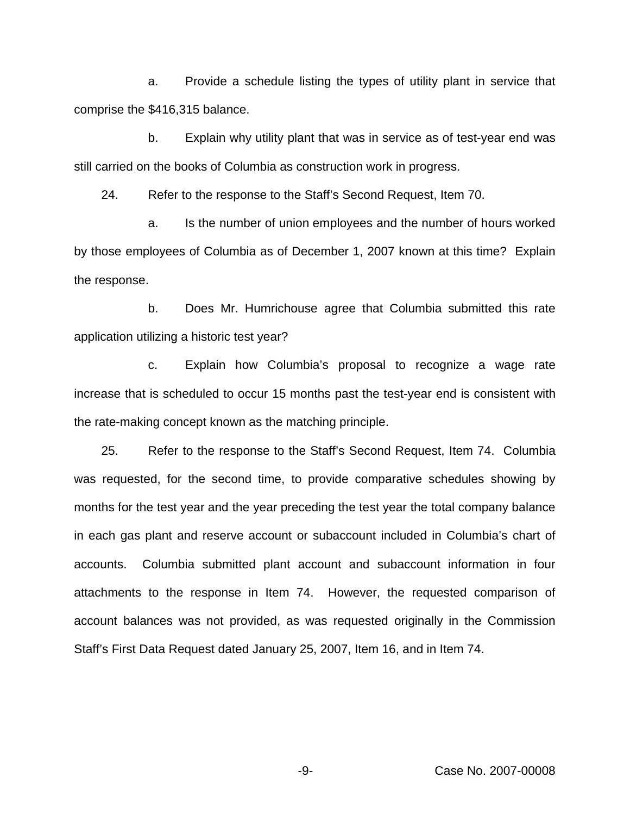a. Provide a schedule listing the types of utility plant in service that comprise the \$416,315 balance.

b. Explain why utility plant that was in service as of test-year end was still carried on the books of Columbia as construction work in progress.

24. Refer to the response to the Staff's Second Request, Item 70.

a. Is the number of union employees and the number of hours worked by those employees of Columbia as of December 1, 2007 known at this time? Explain the response.

b. Does Mr. Humrichouse agree that Columbia submitted this rate application utilizing a historic test year?

c. Explain how Columbia's proposal to recognize a wage rate increase that is scheduled to occur 15 months past the test-year end is consistent with the rate-making concept known as the matching principle.

25. Refer to the response to the Staff's Second Request, Item 74. Columbia was requested, for the second time, to provide comparative schedules showing by months for the test year and the year preceding the test year the total company balance in each gas plant and reserve account or subaccount included in Columbia's chart of accounts. Columbia submitted plant account and subaccount information in four attachments to the response in Item 74. However, the requested comparison of account balances was not provided, as was requested originally in the Commission Staff's First Data Request dated January 25, 2007, Item 16, and in Item 74.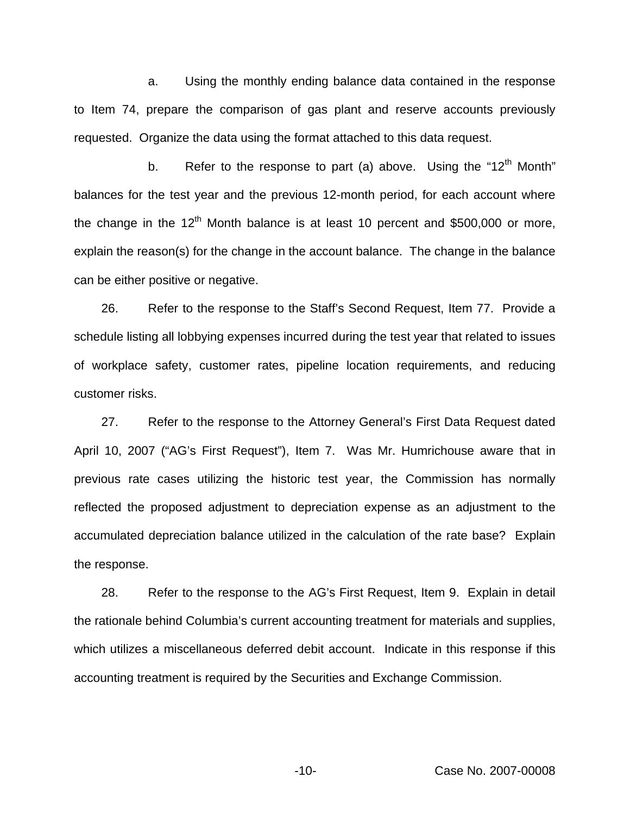a. Using the monthly ending balance data contained in the response to Item 74, prepare the comparison of gas plant and reserve accounts previously requested. Organize the data using the format attached to this data request.

b. Refer to the response to part (a) above. Using the " $12<sup>th</sup>$  Month" balances for the test year and the previous 12-month period, for each account where the change in the  $12<sup>th</sup>$  Month balance is at least 10 percent and \$500,000 or more, explain the reason(s) for the change in the account balance. The change in the balance can be either positive or negative.

26. Refer to the response to the Staff's Second Request, Item 77. Provide a schedule listing all lobbying expenses incurred during the test year that related to issues of workplace safety, customer rates, pipeline location requirements, and reducing customer risks.

27. Refer to the response to the Attorney General's First Data Request dated April 10, 2007 ("AG's First Request"), Item 7. Was Mr. Humrichouse aware that in previous rate cases utilizing the historic test year, the Commission has normally reflected the proposed adjustment to depreciation expense as an adjustment to the accumulated depreciation balance utilized in the calculation of the rate base? Explain the response.

28. Refer to the response to the AG's First Request, Item 9. Explain in detail the rationale behind Columbia's current accounting treatment for materials and supplies, which utilizes a miscellaneous deferred debit account. Indicate in this response if this accounting treatment is required by the Securities and Exchange Commission.

-10- Case No. 2007-00008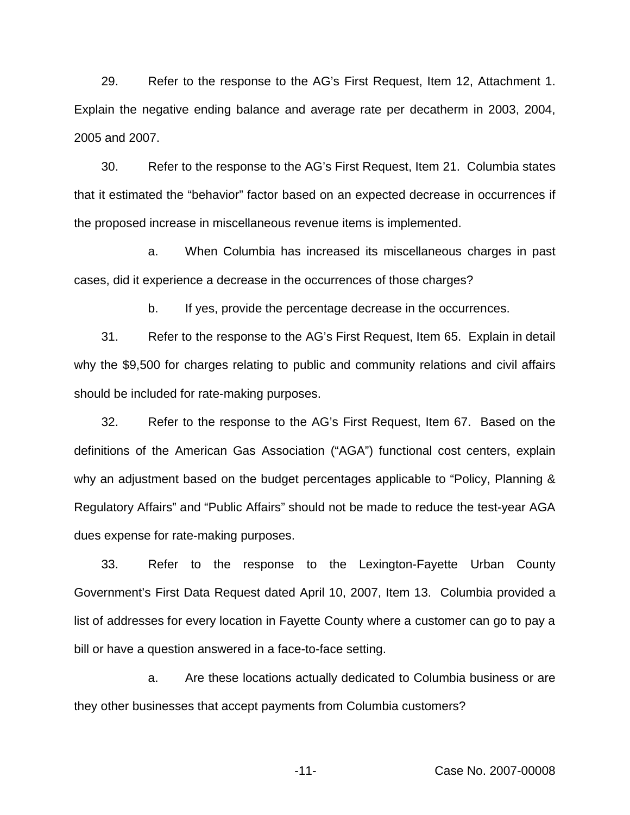29. Refer to the response to the AG's First Request, Item 12, Attachment 1. Explain the negative ending balance and average rate per decatherm in 2003, 2004, 2005 and 2007.

30. Refer to the response to the AG's First Request, Item 21. Columbia states that it estimated the "behavior" factor based on an expected decrease in occurrences if the proposed increase in miscellaneous revenue items is implemented.

a. When Columbia has increased its miscellaneous charges in past cases, did it experience a decrease in the occurrences of those charges?

b. If yes, provide the percentage decrease in the occurrences.

31. Refer to the response to the AG's First Request, Item 65. Explain in detail why the \$9,500 for charges relating to public and community relations and civil affairs should be included for rate-making purposes.

32. Refer to the response to the AG's First Request, Item 67. Based on the definitions of the American Gas Association ("AGA") functional cost centers, explain why an adjustment based on the budget percentages applicable to "Policy, Planning & Regulatory Affairs" and "Public Affairs" should not be made to reduce the test-year AGA dues expense for rate-making purposes.

33. Refer to the response to the Lexington-Fayette Urban County Government's First Data Request dated April 10, 2007, Item 13. Columbia provided a list of addresses for every location in Fayette County where a customer can go to pay a bill or have a question answered in a face-to-face setting.

a. Are these locations actually dedicated to Columbia business or are they other businesses that accept payments from Columbia customers?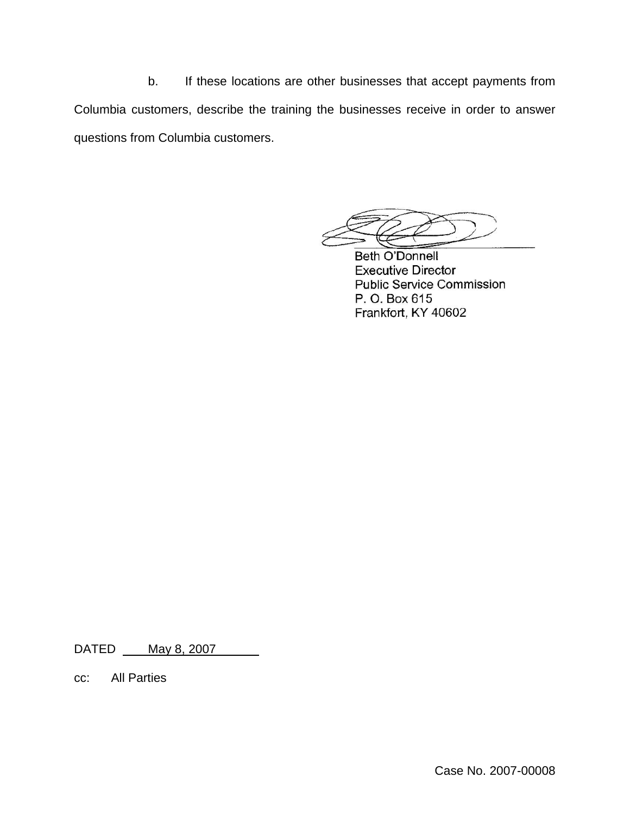b. If these locations are other businesses that accept payments from Columbia customers, describe the training the businesses receive in order to answer questions from Columbia customers.

**Beth O'Donnell Executive Director Public Service Commission** P. O. Box 615 Frankfort, KY 40602

DATED \_\_\_ May 8, 2007

cc: All Parties